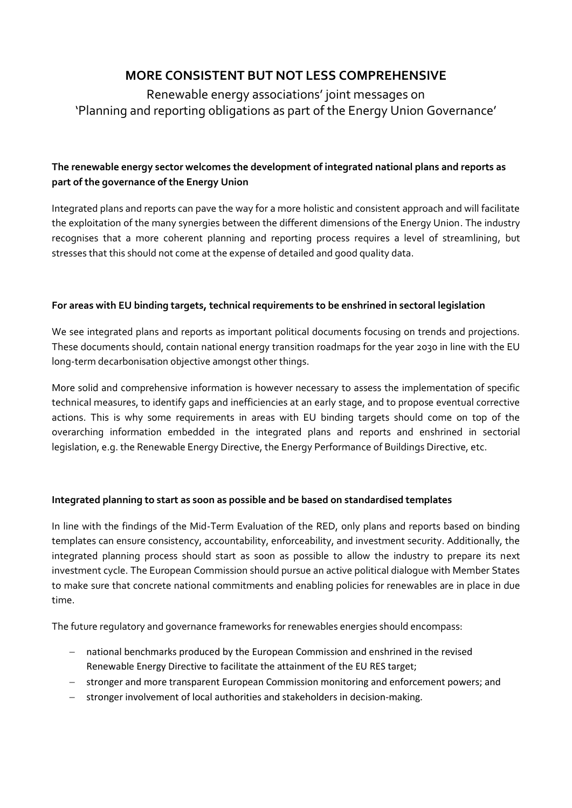# **MORE CONSISTENT BUT NOT LESS COMPREHENSIVE**

Renewable energy associations' joint messages on 'Planning and reporting obligations as part of the Energy Union Governance'

## **The renewable energy sector welcomes the development of integrated national plans and reports as part of the governance of the Energy Union**

Integrated plans and reports can pave the way for a more holistic and consistent approach and will facilitate the exploitation of the many synergies between the different dimensions of the Energy Union. The industry recognises that a more coherent planning and reporting process requires a level of streamlining, but stresses that this should not come at the expense of detailed and good quality data.

### **For areas with EU binding targets, technical requirements to be enshrined in sectoral legislation**

We see integrated plans and reports as important political documents focusing on trends and projections. These documents should, contain national energy transition roadmaps for the year 2030 in line with the EU long-term decarbonisation objective amongst other things.

More solid and comprehensive information is however necessary to assess the implementation of specific technical measures, to identify gaps and inefficiencies at an early stage, and to propose eventual corrective actions. This is why some requirements in areas with EU binding targets should come on top of the overarching information embedded in the integrated plans and reports and enshrined in sectorial legislation, e.g. the Renewable Energy Directive, the Energy Performance of Buildings Directive, etc.

### **Integrated planning to start as soon as possible and be based on standardised templates**

In line with the findings of the Mid-Term Evaluation of the RED, only plans and reports based on binding templates can ensure consistency, accountability, enforceability, and investment security. Additionally, the integrated planning process should start as soon as possible to allow the industry to prepare its next investment cycle. The European Commission should pursue an active political dialogue with Member States to make sure that concrete national commitments and enabling policies for renewables are in place in due time.

The future regulatory and governance frameworks for renewables energies should encompass:

- national benchmarks produced by the European Commission and enshrined in the revised Renewable Energy Directive to facilitate the attainment of the EU RES target;
- stronger and more transparent European Commission monitoring and enforcement powers; and
- stronger involvement of local authorities and stakeholders in decision-making.